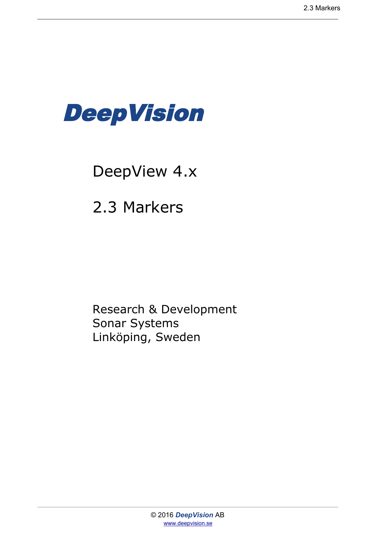

# DeepView 4.x

2.3 Markers

Research & Development Sonar Systems Linköping, Sweden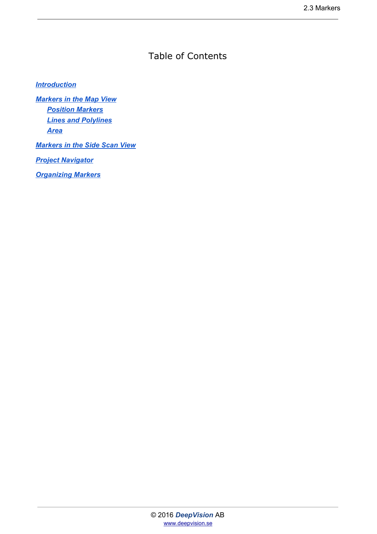### Table of Contents

#### *[Introduction](#page-2-0)*

*[Markers in the Map View](#page-3-0) [Position Markers](#page-3-1) [Lines and Polylines](#page-3-2) [Area](#page-3-3)*

*[Markers in the Side Scan View](#page-4-0)*

*[Project Navigator](#page-4-1)*

*[Organizing Markers](#page-5-0)*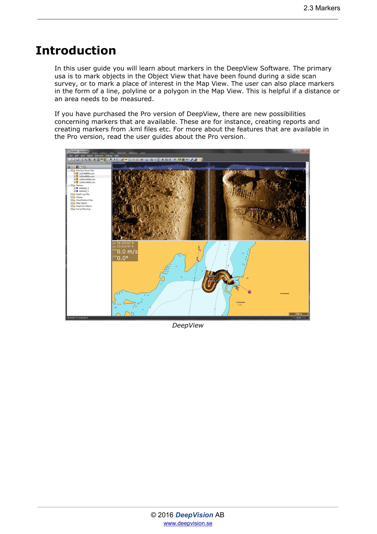### <span id="page-2-0"></span>**Introduction**

In this user guide you will learn about markers in the DeepView Software. The primary usa is to mark objects in the Object View that have been found during a side scan survey, or to mark a place of interest in the Map View. The user can also place markers in the form of a line, polyline or a polygon in the Map View. This is helpful if a distance or an area needs to be measured.

If you have purchased the Pro version of DeepView, there are new possibilities concerning markers that are available. These are for instance, creating reports and creating markers from .kml files etc. For more about the features that are available in the Pro version, read the user guides about the Pro version.



*DeepView*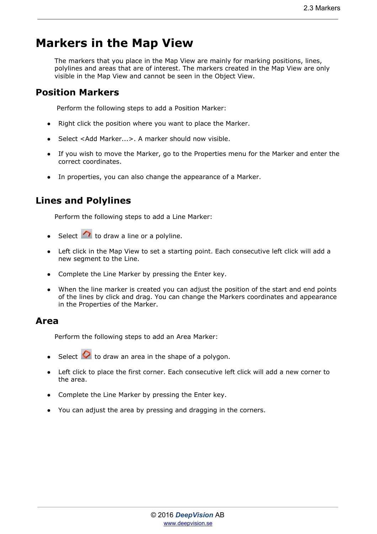# <span id="page-3-0"></span>**Markers in the Map View**

The markers that you place in the Map View are mainly for marking positions, lines, polylines and areas that are of interest. The markers created in the Map View are only visible in the Map View and cannot be seen in the Object View.

### <span id="page-3-1"></span>**Position Markers**

Perform the following steps to add a Position Marker:

- Right click the position where you want to place the Marker.
- Select <Add Marker...>. A marker should now visible.
- If you wish to move the Marker, go to the Properties menu for the Marker and enter the correct coordinates.
- In properties, you can also change the appearance of a Marker.

### <span id="page-3-2"></span>**Lines and Polylines**

Perform the following steps to add a Line Marker:

- Select  $\curvearrowright$  to draw a line or a polyline.
- Left click in the Map View to set a starting point. Each consecutive left click will add a new segment to the Line.
- Complete the Line Marker by pressing the Enter key.
- When the line marker is created you can adjust the position of the start and end points of the lines by click and drag. You can change the Markers coordinates and appearance in the Properties of the Marker.

#### <span id="page-3-3"></span>**Area**

Perform the following steps to add an Area Marker:

- Select  $\bullet$  to draw an area in the shape of a polygon.
- Left click to place the first corner. Each consecutive left click will add a new corner to the area.
- Complete the Line Marker by pressing the Enter key.
- You can adjust the area by pressing and dragging in the corners.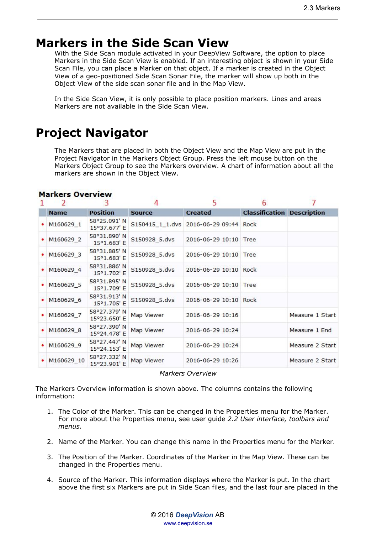# <span id="page-4-0"></span>**Markers in the Side Scan View**

With the Side Scan module activated in your DeepView Software, the option to place Markers in the Side Scan View is enabled. If an interesting object is shown in your Side Scan File, you can place a Marker on that object. If a marker is created in the Object View of a geo-positioned Side Scan Sonar File, the marker will show up both in the Object View of the side scan sonar file and in the Map View.

In the Side Scan View, it is only possible to place position markers. Lines and areas Markers are not available in the Side Scan View.

# <span id="page-4-1"></span>**Project Navigator**

The Markers that are placed in both the Object View and the Map View are put in the Project Navigator in the Markers Object Group. Press the left mouse button on the Markers Object Group to see the Markers overview. A chart of information about all the markers are shown in the Object View.

| $\overline{2}$ | 3                            |                 | 5                     | 6                     |                    |
|----------------|------------------------------|-----------------|-----------------------|-----------------------|--------------------|
| <b>Name</b>    | <b>Position</b>              | <b>Source</b>   | <b>Created</b>        | <b>Classification</b> | <b>Description</b> |
| M160629_1      | 58°25.091' N<br>15°37.677' E | S150415 1 1.dvs | 2016-06-29 09:44 Rock |                       |                    |
| M160629 2      | 58°31.890' N<br>15°1.683' E  | S150928_5.dvs   | 2016-06-29 10:10 Tree |                       |                    |
| M160629_3      | 58°31.885' N<br>15°1.683' E  | S150928_5.dvs   | 2016-06-29 10:10      | Tree                  |                    |
| M160629 4      | 58°31.886' N<br>15°1.702' E  | S150928 5.dvs   | 2016-06-29 10:10 Rock |                       |                    |
| M160629 5      | 58°31.895' N<br>15°1.709'E   | S150928_5.dvs   | 2016-06-29 10:10 Tree |                       |                    |
| M160629 6      | 58°31.913' N<br>15°1.705' E  | S150928 5.dvs   | 2016-06-29 10:10 Rock |                       |                    |
| M160629 7      | 58°27.379' N<br>15°23.650'E  | Map Viewer      | 2016-06-29 10:16      |                       | Measure 1 Start    |
| M160629 8      | 58°27.390' N<br>15°24.478' E | Map Viewer      | 2016-06-29 10:24      |                       | Measure 1 End      |
| M160629_9      | 58°27.447' N<br>15°24.153' E | Map Viewer      | 2016-06-29 10:24      |                       | Measure 2 Start    |
| M160629 10     | 58°27.332' N<br>15°23.901' E | Map Viewer      | 2016-06-29 10:26      |                       | Measure 2 Start    |

#### **Markers Overview**

*Markers Overview*

The Markers Overview information is shown above. The columns contains the following information:

- 1. The Color of the Marker. This can be changed in the Properties menu for the Marker. For more about the Properties menu, see user guide *2.2 User interface, toolbars and menus*.
- 2. Name of the Marker. You can change this name in the Properties menu for the Marker.
- 3. The Position of the Marker. Coordinates of the Marker in the Map View. These can be changed in the Properties menu.
- 4. Source of the Marker. This information displays where the Marker is put. In the chart above the first six Markers are put in Side Scan files, and the last four are placed in the